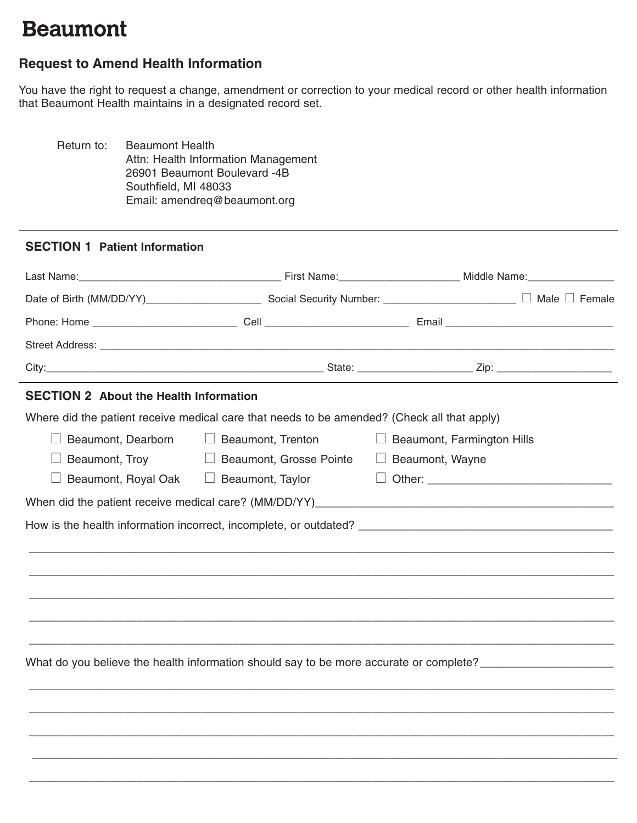## **Beaumont**

## **Request to Amend Health Information**

You have the right to request a change, amendment or correction to your medical record or other health information that Beaumont Health maintains in a designated record set.

Return to: Beaumont Health Attn: Health Information Management 26901 Beaumont Boulevard -4B Southfield, MI 48033 Email: amendreq@beaumont.org

## **SECTION 1 Patient Information**

| <b>SECTION 2 About the Health Information</b>    |                                                                                                               |                                                  |  |  |
|--------------------------------------------------|---------------------------------------------------------------------------------------------------------------|--------------------------------------------------|--|--|
|                                                  | Where did the patient receive medical care that needs to be amended? (Check all that apply)                   |                                                  |  |  |
| $\Box$                                           | Beaumont, Dearborn<br><u>I</u> Beaumont, Trenton                                                              | $\Box$ Beaumont, Farmington Hills                |  |  |
| Beaumont, Troy<br>$\Box$                         | □ Beaumont, Grosse Pointe                                                                                     | $\Box$ Beaumont, Wayne                           |  |  |
| Beaumont, Royal Oak □ Beaumont, Taylor<br>$\Box$ |                                                                                                               | □ Other: <u>________________________________</u> |  |  |
|                                                  |                                                                                                               |                                                  |  |  |
|                                                  |                                                                                                               |                                                  |  |  |
|                                                  | What do you believe the health information should say to be more accurate or complete? ______________________ |                                                  |  |  |
|                                                  |                                                                                                               |                                                  |  |  |